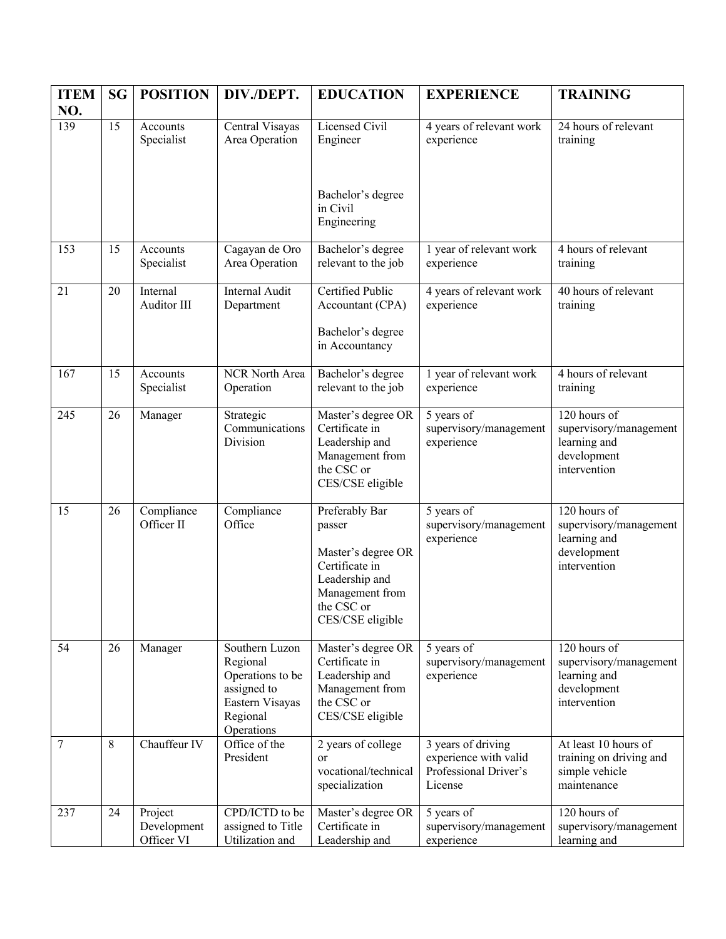| <b>ITEM</b> | <b>SG</b> | <b>POSITION</b>                      | DIV./DEPT.                                                                                                 | <b>EDUCATION</b>                                                                                                                        | <b>EXPERIENCE</b>                                                               | <b>TRAINING</b>                                                                       |
|-------------|-----------|--------------------------------------|------------------------------------------------------------------------------------------------------------|-----------------------------------------------------------------------------------------------------------------------------------------|---------------------------------------------------------------------------------|---------------------------------------------------------------------------------------|
| NO.<br>139  | 15        | Accounts<br>Specialist               | Central Visayas<br>Area Operation                                                                          | Licensed Civil<br>Engineer                                                                                                              | 4 years of relevant work<br>experience                                          | 24 hours of relevant<br>training                                                      |
|             |           |                                      |                                                                                                            | Bachelor's degree<br>in Civil<br>Engineering                                                                                            |                                                                                 |                                                                                       |
| 153         | 15        | Accounts<br>Specialist               | Cagayan de Oro<br>Area Operation                                                                           | Bachelor's degree<br>relevant to the job                                                                                                | 1 year of relevant work<br>experience                                           | 4 hours of relevant<br>training                                                       |
| 21          | 20        | Internal<br>Auditor III              | <b>Internal Audit</b><br>Department                                                                        | Certified Public<br>Accountant (CPA)                                                                                                    | 4 years of relevant work<br>experience                                          | 40 hours of relevant<br>training                                                      |
|             |           |                                      |                                                                                                            | Bachelor's degree<br>in Accountancy                                                                                                     |                                                                                 |                                                                                       |
| 167         | 15        | Accounts<br>Specialist               | NCR North Area<br>Operation                                                                                | Bachelor's degree<br>relevant to the job                                                                                                | 1 year of relevant work<br>experience                                           | 4 hours of relevant<br>training                                                       |
| 245         | 26        | Manager                              | Strategic<br>Communications<br>Division                                                                    | Master's degree OR<br>Certificate in<br>Leadership and<br>Management from<br>the CSC or<br>CES/CSE eligible                             | 5 years of<br>supervisory/management<br>experience                              | 120 hours of<br>supervisory/management<br>learning and<br>development<br>intervention |
| 15          | 26        | Compliance<br>Officer II             | Compliance<br>Office                                                                                       | Preferably Bar<br>passer<br>Master's degree OR<br>Certificate in<br>Leadership and<br>Management from<br>the CSC or<br>CES/CSE eligible | 5 years of<br>supervisory/management<br>experience                              | 120 hours of<br>supervisory/management<br>learning and<br>development<br>intervention |
| 54          | 26        | Manager                              | Southern Luzon<br>Regional<br>Operations to be<br>assigned to<br>Eastern Visayas<br>Regional<br>Operations | Master's degree OR<br>Certificate in<br>Leadership and<br>Management from<br>the CSC or<br>CES/CSE eligible                             | 5 years of<br>supervisory/management<br>experience                              | 120 hours of<br>supervisory/management<br>learning and<br>development<br>intervention |
| 7           | 8         | Chauffeur IV                         | Office of the<br>President                                                                                 | 2 years of college<br>or<br>vocational/technical<br>specialization                                                                      | 3 years of driving<br>experience with valid<br>Professional Driver's<br>License | At least 10 hours of<br>training on driving and<br>simple vehicle<br>maintenance      |
| 237         | 24        | Project<br>Development<br>Officer VI | CPD/ICTD to be<br>assigned to Title<br>Utilization and                                                     | Master's degree OR<br>Certificate in<br>Leadership and                                                                                  | 5 years of<br>supervisory/management<br>experience                              | 120 hours of<br>supervisory/management<br>learning and                                |